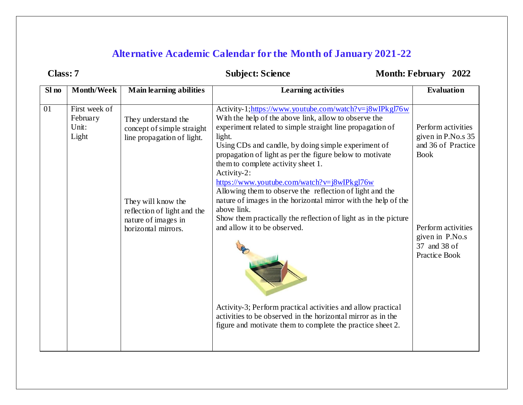## **Alternative Academic Calendar for the Month of January 2021-22**

|  |  | :Iass: |  |  |
|--|--|--------|--|--|
|--|--|--------|--|--|

## **COLASSIBLE SCIENCE CONTROLLER SCIENCE CONTROLLER MONTH: February 2022**

| Sl no | <b>Month/Week</b>                           | <b>Main learning abilities</b>                                                                                                                                                     | <b>Learning activities</b>                                                                                                                                                                                                                                                                                                                                                                                                                                                                                                                                                                                                                                                                                                                                                                                                                                  | <b>Evaluation</b>                                                                                                                                       |
|-------|---------------------------------------------|------------------------------------------------------------------------------------------------------------------------------------------------------------------------------------|-------------------------------------------------------------------------------------------------------------------------------------------------------------------------------------------------------------------------------------------------------------------------------------------------------------------------------------------------------------------------------------------------------------------------------------------------------------------------------------------------------------------------------------------------------------------------------------------------------------------------------------------------------------------------------------------------------------------------------------------------------------------------------------------------------------------------------------------------------------|---------------------------------------------------------------------------------------------------------------------------------------------------------|
| 01    | First week of<br>February<br>Unit:<br>Light | They understand the<br>concept of simple straight<br>line propagation of light.<br>They will know the<br>reflection of light and the<br>nature of images in<br>horizontal mirrors. | Activity-1;https://www.youtube.com/watch?v=j8wIPkgl76w<br>With the help of the above link, allow to observe the<br>experiment related to simple straight line propagation of<br>light.<br>Using CDs and candle, by doing simple experiment of<br>propagation of light as per the figure below to motivate<br>them to complete activity sheet 1.<br>Activity-2:<br>https://www.youtube.com/watch?v=j8wIPkgl76w<br>Allowing them to observe the reflection of light and the<br>nature of images in the horizontal mirror with the help of the<br>above link.<br>Show them practically the reflection of light as in the picture<br>and allow it to be observed.<br>Activity-3; Perform practical activities and allow practical<br>activities to be observed in the horizontal mirror as in the<br>figure and motivate them to complete the practice sheet 2. | Perform activities<br>given in P.No.s 35<br>and 36 of Practice<br><b>Book</b><br>Perform activities<br>given in P.No.s<br>37 and 38 of<br>Practice Book |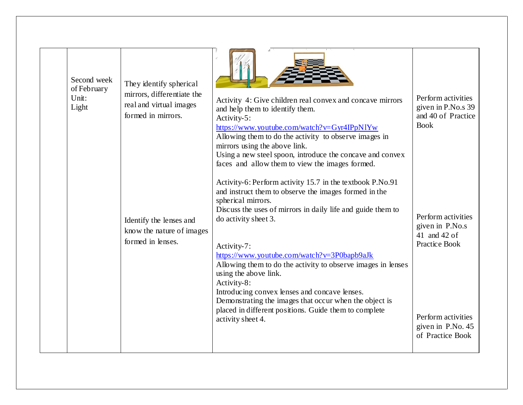| Second week<br>of February<br>Unit:<br>Light | They identify spherical<br>mirrors, differentiate the<br>real and virtual images<br>formed in mirrors. | Activity 4: Give children real convex and concave mirrors<br>and help them to identify them.<br>Activity-5:<br>https://www.youtube.com/watch?v=Gyr4IPpN1Yw<br>Allowing them to do the activity to observe images in<br>mirrors using the above link.<br>Using a new steel spoon, introduce the concave and convex<br>faces and allow them to view the images formed.                                                                                                                                                                                                                           | Perform activities<br>given in P.No.s 39<br>and 40 of Practice<br><b>Book</b>                |
|----------------------------------------------|--------------------------------------------------------------------------------------------------------|------------------------------------------------------------------------------------------------------------------------------------------------------------------------------------------------------------------------------------------------------------------------------------------------------------------------------------------------------------------------------------------------------------------------------------------------------------------------------------------------------------------------------------------------------------------------------------------------|----------------------------------------------------------------------------------------------|
|                                              | Identify the lenses and<br>know the nature of images<br>formed in lenses.                              | Activity-6: Perform activity 15.7 in the textbook P.No.91<br>and instruct them to observe the images formed in the<br>spherical mirrors.<br>Discuss the uses of mirrors in daily life and guide them to<br>do activity sheet 3.<br>Activity-7:<br>https://www.youtube.com/watch?v=3P0bapb9aJk<br>Allowing them to do the activity to observe images in lenses<br>using the above link.<br>Activity-8:<br>Introducing convex lenses and concave lenses.<br>Demonstrating the images that occur when the object is<br>placed in different positions. Guide them to complete<br>activity sheet 4. | Perform activities<br>given in P.No.s<br>41 and 42 of<br>Practice Book<br>Perform activities |
|                                              |                                                                                                        |                                                                                                                                                                                                                                                                                                                                                                                                                                                                                                                                                                                                | given in P.No. 45<br>of Practice Book                                                        |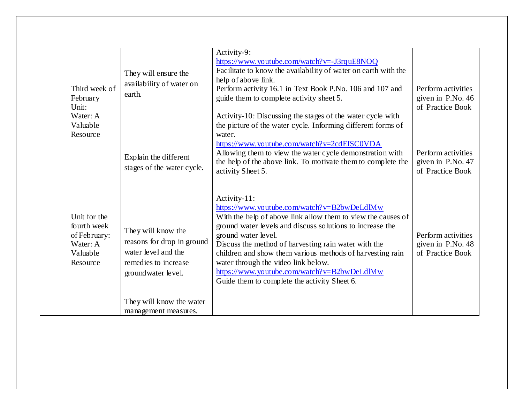| February<br>Unit:<br>Water: A<br>Valuable<br>Resource                           | Third week of | They will ensure the<br>availability of water on<br>earth.<br>Explain the different<br>stages of the water cycle.                                                         | Activity-9:<br>https://www.youtube.com/watch?v=-J3rquE8NOQ<br>Facilitate to know the availability of water on earth with the<br>help of above link.<br>Perform activity 16.1 in Text Book P.No. 106 and 107 and<br>guide them to complete activity sheet 5.<br>Activity-10: Discussing the stages of the water cycle with<br>the picture of the water cycle. Informing different forms of<br>water.<br>https://www.youtube.com/watch?v=2cdEISC0VDA<br>Allowing them to view the water cycle demonstration with<br>the help of the above link. To motivate them to complete the<br>activity Sheet 5. | Perform activities<br>given in P.No. 46<br>of Practice Book<br>Perform activities<br>given in P.No. 47<br>of Practice Book |
|---------------------------------------------------------------------------------|---------------|---------------------------------------------------------------------------------------------------------------------------------------------------------------------------|-----------------------------------------------------------------------------------------------------------------------------------------------------------------------------------------------------------------------------------------------------------------------------------------------------------------------------------------------------------------------------------------------------------------------------------------------------------------------------------------------------------------------------------------------------------------------------------------------------|----------------------------------------------------------------------------------------------------------------------------|
| Unit for the<br>fourth week<br>of February:<br>Water: A<br>Valuable<br>Resource |               | They will know the<br>reasons for drop in ground<br>water level and the<br>remedies to increase<br>groundwater level.<br>They will know the water<br>management measures. | Activity-11:<br>https://www.youtube.com/watch?v=B2bwDeLdlMw<br>With the help of above link allow them to view the causes of<br>ground water levels and discuss solutions to increase the<br>ground water level.<br>Discuss the method of harvesting rain water with the<br>children and show them various methods of harvesting rain<br>water through the video link below.<br>https://www.youtube.com/watch?v=B2bwDeLdlMw<br>Guide them to complete the activity Sheet 6.                                                                                                                          | Perform activities<br>given in P.No. 48<br>of Practice Book                                                                |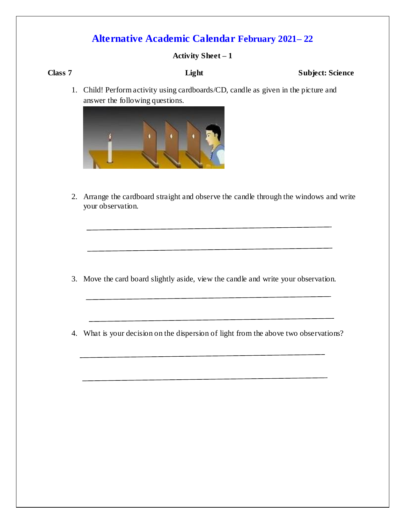#### **Activity Sheet – 1**

#### **Class 7** Light Subject: Science

1. Child! Perform activity using cardboards/CD, candle as given in the picture and answer the following questions.



2. Arrange the cardboard straight and observe the candle through the windows and write your observation.

- 3. Move the card board slightly aside, view the candle and write your observation.
- 4. What is your decision on the dispersion of light from the above two observations?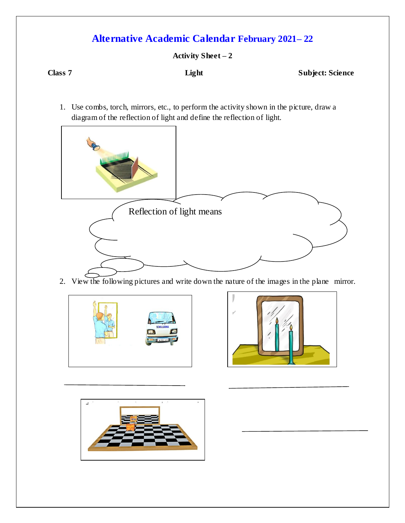**Activity Sheet – 2**

**Class 7** Light Subject: Science

1. Use combs, torch, mirrors, etc., to perform the activity shown in the picture, draw a diagram of the reflection of light and define the reflection of light.



2. View the following pictures and write down the nature of the images in the plane mirror.





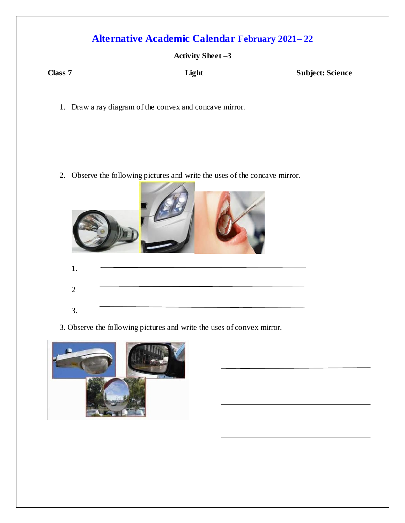#### **Activity Sheet –3**

**Class 7** Light Subject: Science

1. Draw a ray diagram of the convex and concave mirror.

2. Observe the following pictures and write the uses of the concave mirror.

| 1.             |  |
|----------------|--|
| $\overline{2}$ |  |
| 3.             |  |

3. Observe the following pictures and write the uses of convex mirror.

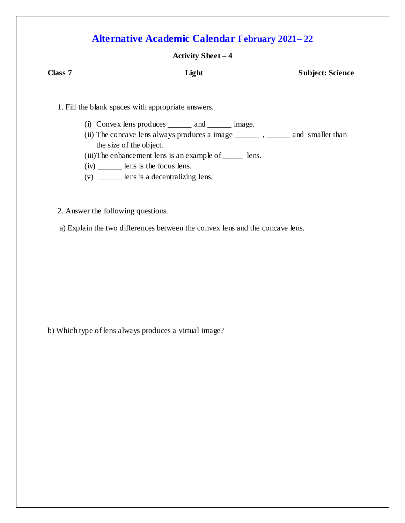### **Activity Sheet – 4**

| Class 7 | Light                                                                                  | <b>Subject: Science</b> |
|---------|----------------------------------------------------------------------------------------|-------------------------|
|         | 1. Fill the blank spaces with appropriate answers.                                     |                         |
|         | (i) Convex lens produces $\_\_\_\_$ and $\_\_\_\_$ image.                              |                         |
|         | (ii) The concave lens always produces a image ___________, __________ and smaller than |                         |
|         | the size of the object.                                                                |                         |
|         | (iii) The enhancement lens is an example of $\_\_\_\_\$ lens.                          |                         |
|         | $(iv)$ ________ lens is the focus lens.                                                |                         |

- (v) \_\_\_\_\_\_ lens is a decentralizing lens.
- 2. Answer the following questions.

a) Explain the two differences between the convex lens and the concave lens.

b) Which type of lens always produces a virtual image?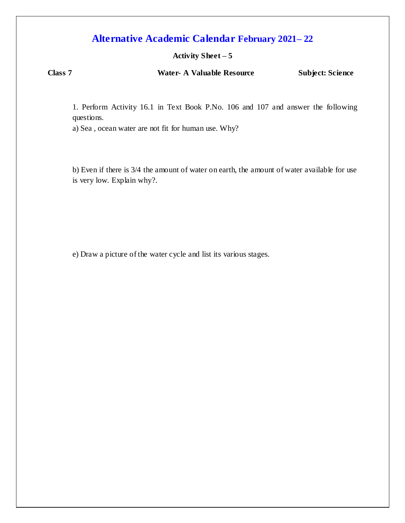#### **Activity Sheet – 5**

**Class 7 Water- A Valuable Resource Subject: Science**

1. Perform Activity 16.1 in Text Book P.No. 106 and 107 and answer the following questions.

a) Sea , ocean water are not fit for human use. Why?

b) Even if there is 3/4 the amount of water on earth, the amount of water available for use is very low. Explain why?.

e) Draw a picture of the water cycle and list its various stages.